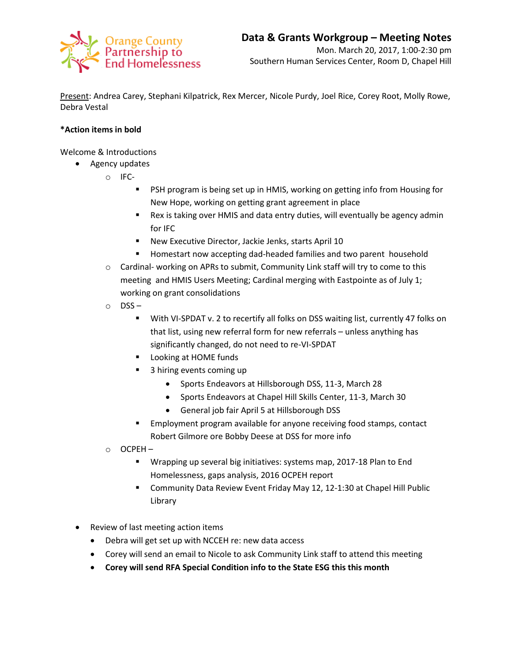

Present: Andrea Carey, Stephani Kilpatrick, Rex Mercer, Nicole Purdy, Joel Rice, Corey Root, Molly Rowe, Debra Vestal

## **\*Action items in bold**

Welcome & Introductions

- Agency updates
	- o IFC-
		- **PSH program is being set up in HMIS, working on getting info from Housing for** New Hope, working on getting grant agreement in place
		- Rex is taking over HMIS and data entry duties, will eventually be agency admin for IFC
		- New Executive Director, Jackie Jenks, starts April 10
		- **Homestart now accepting dad-headed families and two parent household**
	- $\circ$  Cardinal- working on APRs to submit, Community Link staff will try to come to this meeting and HMIS Users Meeting; Cardinal merging with Eastpointe as of July 1; working on grant consolidations
	- o DSS
		- With VI-SPDAT v. 2 to recertify all folks on DSS waiting list, currently 47 folks on that list, using new referral form for new referrals – unless anything has significantly changed, do not need to re-VI-SPDAT
		- **Looking at HOME funds**
		- 3 hiring events coming up
			- Sports Endeavors at Hillsborough DSS, 11-3, March 28
				- Sports Endeavors at Chapel Hill Skills Center, 11-3, March 30
				- General job fair April 5 at Hillsborough DSS
		- Employment program available for anyone receiving food stamps, contact Robert Gilmore ore Bobby Deese at DSS for more info
	- o OCPEH
		- **Wrapping up several big initiatives: systems map, 2017-18 Plan to End** Homelessness, gaps analysis, 2016 OCPEH report
		- Community Data Review Event Friday May 12, 12-1:30 at Chapel Hill Public Library
- Review of last meeting action items
	- Debra will get set up with NCCEH re: new data access
	- Corey will send an email to Nicole to ask Community Link staff to attend this meeting
	- **Corey will send RFA Special Condition info to the State ESG this this month**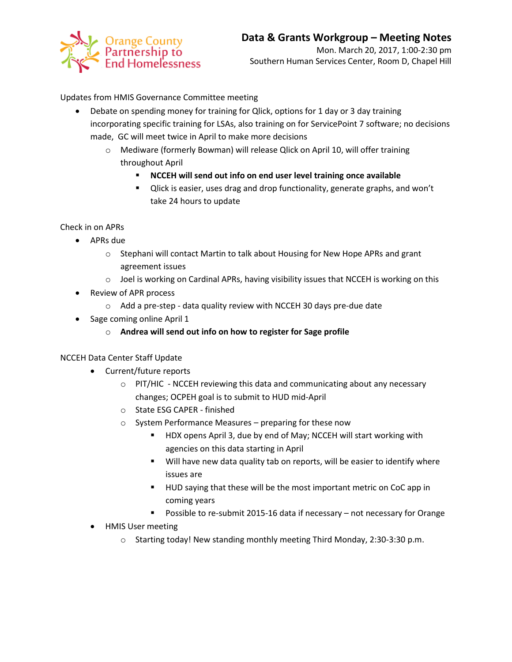

Updates from HMIS Governance Committee meeting

- Debate on spending money for training for Qlick, options for 1 day or 3 day training incorporating specific training for LSAs, also training on for ServicePoint 7 software; no decisions made, GC will meet twice in April to make more decisions
	- o Mediware (formerly Bowman) will release Qlick on April 10, will offer training throughout April
		- **NCCEH will send out info on end user level training once available**
		- **Ulick is easier, uses drag and drop functionality, generate graphs, and won't** take 24 hours to update

Check in on APRs

- APRs due
	- $\circ$  Stephani will contact Martin to talk about Housing for New Hope APRs and grant agreement issues
	- $\circ$  Joel is working on Cardinal APRs, having visibility issues that NCCEH is working on this
- Review of APR process
	- o Add a pre-step data quality review with NCCEH 30 days pre-due date
- Sage coming online April 1
	- o **Andrea will send out info on how to register for Sage profile**

NCCEH Data Center Staff Update

- Current/future reports
	- o PIT/HIC NCCEH reviewing this data and communicating about any necessary changes; OCPEH goal is to submit to HUD mid-April
	- o State ESG CAPER finished
	- o System Performance Measures preparing for these now
		- HDX opens April 3, due by end of May; NCCEH will start working with agencies on this data starting in April
		- **Will have new data quality tab on reports, will be easier to identify where** issues are
		- **HUD saying that these will be the most important metric on CoC app in** coming years
		- Possible to re-submit 2015-16 data if necessary not necessary for Orange
- HMIS User meeting
	- o Starting today! New standing monthly meeting Third Monday, 2:30-3:30 p.m.